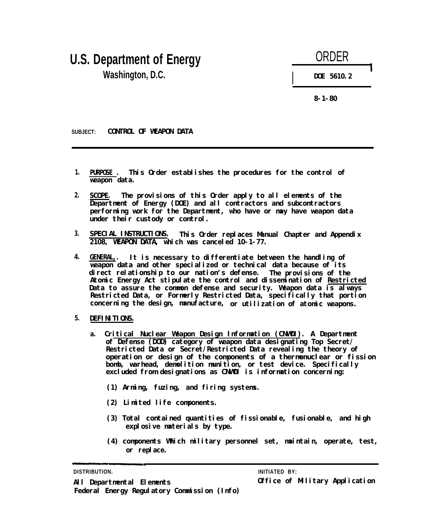## **U.S. Department of Energy Washington, D.C.**



**8-1-80**

**SUBJECT: CONTROL OF WEAPON DATA**

- **1.** This Order establishes the procedures for the control of **weapon data.**
- **2. SCOPE. The provisions of this Order apply to all elements of the Department of Energy (DOE) and all contractors and subcontractors performing work for the Department, who have or may have weapon data under their custody or control.**
- **3. SPECIAL INSTRUCTIONS. This Order replaces Manual Chapter and Appendix 2108, WEAPON DATA, which was canceled 10-1-77.**
- **4. GENERAL,. It is necessary to differentiate between the handling of weapon data and other specialized or technical data because of its direct relationship to our nation's defense. The provisions of the** Atomic Energy Act stipulate the control and dissemination of Restricted **Data to assure the common defense and security. Weapon data is always Restricted Data, or Formerly Restricted Data, specifically that portion concerning the design, manufacture, or utilization of atomic weapons.**
- **5. DEFINITIONS.**
	- **a. Critical Nuclear Weapon Design Information (CNWDI). A Department of Defense (DOD) category of weapon data designating Top Secret/ Restricted Data or Secret/Restricted Data revealing the theory of operation or design of the components of a thermonuclear or fission bomb, warhead, demolition munition,** *or* **test device. Specifically excluded from designations as CNWDI is information concerning:**
		- **(1) Arming, fuzing, and firing systems.**
		- **(2) Limited life components.**
		- **(3) Total contained quantities of fissionable, fusionable, and high explosive materials by type.**
		- **(4) components Which military personnel set, maintain, operate, test, or replace.**

### **DISTRIBUTION. INITIATED BY:**

**All Departmental Elements Office of Military Application Federal Energy Regulatory Commission (Info)**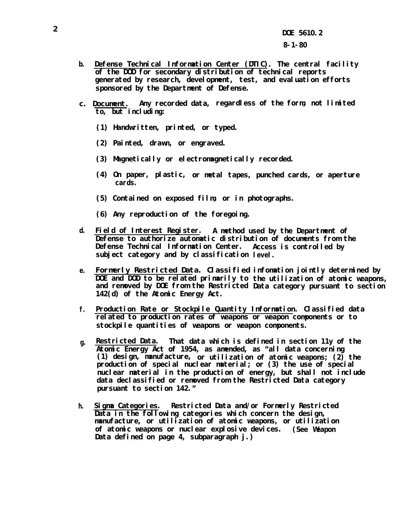- **b. Defense Technical Information Center (DTIC). The central facility of the DOD for secondary distribution of technical reports generated by research, development, test, and evaluation efforts sponsored by the Department of Defense.**
- **c. Document. Any recorded data, regardless of the form, not limited to, but including:**
	- **(1) Handwritten, printed, or typed.**
	- **(2) Painted, drawn, or engraved.**
	- **(3) Magnetically or electromagnetically recorded.**
	- **(4) On paper, plastic, or metal tapes, punched cards, or aperture cards.**
	- **(5) Contained on exposed film, or in photographs.**
	- **(6) Any reproduction of the foregoing.**
- **d. Field of Interest Register. A method used by the Department of Defense to authorize automatic distribution of documents from the Defense Technical Information Center. Access is controlled by subject category and by classification level.**
- **e. Formerly Restricted Data. Classified infomation jointly determined by DOE and DOD to be related primarily to the utilization of atomic weapons, and removed by DOE from the Restricted Data category pursuant to section 142(d) of the Atomic Energy Act.**
- **f. Production Rate or Stockpile Quantity Information. Classified data related to production rates of weapons or weapon components or to** stockpile quantities of weapons or weapon components.
- **g. Restricted Data. That data which is defined in section 11y of the Atomic Energy Act of 1954, as amended, as "all data concerning (1) design, manufacture, or utilization of atomic weapons; (2) the production of special nuclear material; or (3) the use of special nuclear material in the production of energy, but shall not include data declassified or removed from the Restricted Data category pursuant to section 142."**
- **h. Sigma Categories. Restricted Data and/or Formerly Restricted Data in the following categories which concern the design, manufacture, or utilization of atomic weapons, or utilization of atomic weapons or nuclear explosive devices. (See Weapon Data defined on page 4, subparagraph j.)**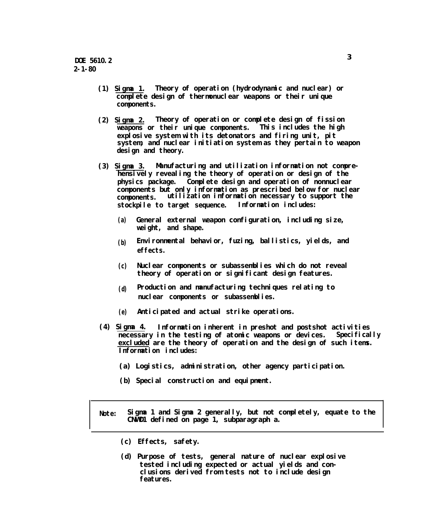- **(1) Sigma 1. Theory of operation (hydrodynamic and nuclear) or complete design of thermonuclear weapons or their unique components.**
- **(2) Sigma 2. Theory of operation or complete design of fission weapons** or their unique components. **explosive system with its detonators and firing unit, pit system, and nuclear initiation system as they pertain to weapon design and theory.**
- **(3) Sigma 3. Manufacturing and utilization information not comprehensively revealing the theory of operation or design of the physics package. Complete design and operation of nonnuclear components but only information as prescribed below for nuclear components. utilization information necessary to support the stockpile to target sequence. Information includes:**
	- **(a) General external weapon configuration, including size, weight, and shape.**
	- **(b)** Environmental behavior, fuzing, ballistics, yields, and **effects.**
	- **(c) Nuclear components or subassemblies which do not reveal theory of operation or significant design features.**
	- **(d) Production and manufacturing techniques relating to nuclear components or subassemblies.**
	- **(e) Anticipated and actual strike operations.**
- **(4) Sigma 4. Information inherent in preshot and postshot activities necessary in the testing of atomic weapons or devices. Specifically excluded are the theory of operation and the design of such items. Information includes:**
	- **(a) Logistics, administration, other agency participation.**
	- **(b) Special construction and equipment.**

**Note: Sigma 1 and Sigma 2 generally, but not completely, equate to the CNWD1 defined on page 1, subparagraph a.**

- **(c) Effects, safety.**
- **(d) Purpose of tests, general nature of nuclear explosive tested including expected or actual yields and conclusions derived from tests not to include design features.**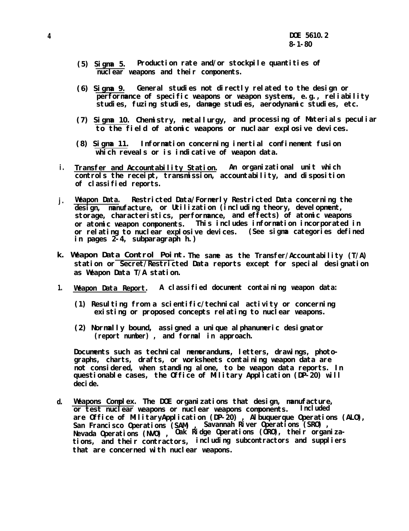- **(5) Sigma 5. Production rate and/or stockpile quantities of nuclear weapons and their components.**
- **(6) Sigma 9. General studies not directly related to the design or performance of specific weapons or weapon systems, e.g., reliability studies, fuzing studies, damage studies, aerodynamic studies, etc.**
- **(7) Sigma 10. Chemistry, metallurgy, and processing of Materials peculiar to the field of atomic weapons or nuclaar explosive devices.**
- **(8) Sigma 11. Information concerning inertial confinement fusion which reveals or is indicative of weapon data.**
- **i. Transfer and Accountability Station. An organizational unit which controls the receipt, transmission, accountability, and disposition of classified reports.**
- **j. Weapon Data. Restricted Data/Formerly Restricted Data concerning the design, manufacture, or Utilization (including theory, development, storage, characteristics, performance, and effects) of atomic weapons or atomic weapon components. This includes information incorporated in or relating to nuclear explosive devices. (See sigma categories defined in pages 2-4, subparagraph h.)**
- **The same as the Transfer/Accountability (T/A) k. Weapon Data Control Point.station or Secret/Restricted Data reports except for special designation as Weapon Data T/A station.**
- **1. Weapon Data Report. A classified document containing weapon data:**
	- **(1) Resulting from a scientific/technical activity or concerning existing or proposed concepts relating to nuclear weapons.**
	- **(2) Normally bound, assigned a unique alphanumeric designator (report number) , and formal in approach.**

**Documents such as technical memorandums, letters, drawings, photographs, charts, drafts, or worksheets containing weapon data are not considered, when standing alone, to be weapon data reports. In questionable cases, the Office of Military Application (DP-20) will decide.**

**d. Weapons Complex. The DOE organizations that design, manufacture, or test nuclear weapons or nuclear weapons components. Included are Office of MilitaryApplication (DP-20) , Albuquerque Operations (ALO), San Francisco Operations (SAM) , Savannah River Operations (SRO) , Nevada Operations (NVO) , Oak Ridge Operations (ORO), their organizations, and their contractors, including subcontractors and suppliers that are concerned with nuclear weapons.**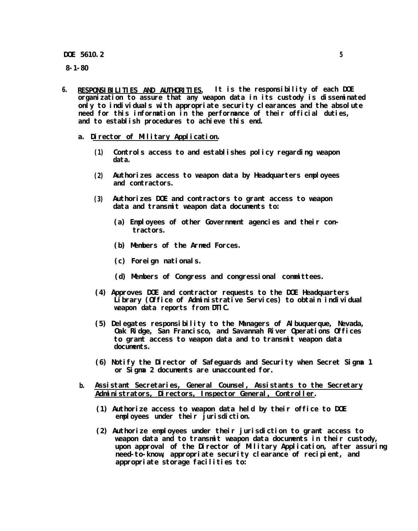**DOE 5610.2 5**

**8-1-80**

- **6. RESPONSIBILITIES AND AUTHORITIES. It is the responsibility of each DOE organization to assure that any weapon data in its custody is disseminated only to individuals with appropriate security clearances and the absolute need for this information in the performance of their official duties, and to establish procedures to achieve this end.**
	- **a. Director of Military Application.**
		- **(1) Controls access to and establishes policy regarding weapon data.**
		- **(2) Authorizes access to weapon data by Headquarters employees and contractors.**
		- **(3) Authorizes DOE and contractors to grant access to weapon data and transmit weapon data documents to:**
			- **(a) Employees of other Government agencies and their contractors.**
			- **(b) Members of the Armed Forces.**
			- **(c) Foreign nationals.**
			- **(d) Members of Congress and congressional committees.**
		- **(4) Approves DOE and contractor requests to the DOE Headquarters Library (Office of Administrative Services)** *to* **obtain individual weapon data reports from DTIC.**
		- **(5) Delegates responsibility to the Managers of Albuquerque, Nevada, Oak Ridge, San Francisco, and Savannah River Operations Offices to grant access to weapon data and to transmit weapon data documents.**
		- **(6) Notify the Director of Safeguards and Security when Secret Sigma 1 or Sigma 2 documents are unaccounted for.**
	- **b. Assistant Secretaries, General Counsel, Assistants to the Secretary Administrators, Directors, Inspector General, Controller.**
		- **(1) Authorize access to weapon data held by their office to DOE employees under their jurisdiction.**
		- **(2) Authorize employees under their jurisdiction to grant access to weapon data and to transmit weapon data documents in their custody, upon approval of the Director of Military Application, after assuring need-to-know, appropriate security clearance of recipient, and appropriate storage facilities to:**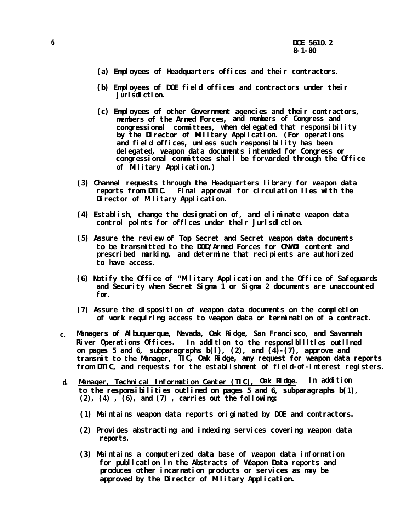- **(a) Employees of Headquarters offices and their contractors.**
- **(b) Employees of DOE field offices and contractors under their jurisdiction.**
- **(c) Employees of other Government agencies and their contractors, members of the Armed Forces, and members of Congress and congressional committees, when delegated that responsibility by the Director of Military Application. (For operations and field offices, unless such responsibility has been delegated, weapon data documents intended for Congress or congressional committees shall be forwarded through the Office of Military Application.)**
- **(3) Channel requests through the Headquarters library for weapon data reports from DTIC. Final approval for circulation lies with the Director of Military Application.**
- **(4) Establish, change the designation of, and eliminate weapon data control points for offices under their jurisdiction.**
- **(5) Assure the review of Top Secret and Secret weapon data documents to be transmitted to the D0D/Armed Forces for CNWDI content and prescribed marking, and determine that recipients are authorized to have access.**
- **(6) Notify the Office of "Military Application and the Office of Safeguards and Security when Secret Sigma 1 or Sigma 2 documents are unaccounted for.**
- **(7) Assure the disposition of weapon data documents on the completion of work requiring access to weapon data or termination of a contract.**
- **c. Managers of Albuquerque, Nevada, Oak Ridge, San Francisco, and Savannah River Operations Offices. In addition to the responsibilities outlined on pages 5 and 6, subparagraphs b(l), (2), and (4)-(7), approve and transmit to the Manager, TIC, Oak Ridge, any request for weapon data reports from DTIC, and requests for the establishment of field-of-interest registers.**
- **d. Manager, Technical Information Center (TIC), Oak Ridge. In addition to the responsibilities outlined on pages 5 and 6, subparagraphs b(1), (2), (4) , (6), and (7) , carries out the following:**
	- **(1) Maintains weapon data reports originated by DOE and contractors.**
	- **(2) Provides abstracting and indexing services covering weapon data reports.**
	- **(3) Maintains a computerized data base of weapon data information for publication in the Abstracts of Weapon Data reports and produces other incarnation products or services as may be approved by the Directcr of Military Application.**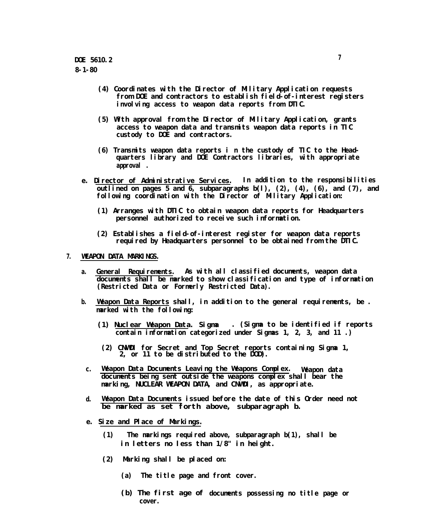- **(4) Coordinates with the Director of Military Application requests from DOE and contractors to establish field-of-interest registers involving access to weapon data reports from DTIC.**
- **(5) With approval from the Director of Military Application, grants access to weapon data and transmits weapon data reports in TIC custody to DOE and contractors.**
- **(6) Transmits weapon data reports i n the custody of TIC to the Headquarters library and DOE Contractors libraries, with appropriate approval .**
- **e. Director of Administrative Services. In addition to the responsibilities outlined on pages 5 and 6, subparagraphs b(l), (2), (4), (6), and (7), and following coordination with the Director of Military Application:**
	- **(1) Arranges with DTIC to obtain weapon data reports for Headquarters personnel authorized to receive such information.**
	- **(2) Establishes a field-of-interest register for weapon data reports** required by Headquarters personnel to be obtained from the DTIC.

#### **7. WEAPON DATA MARKINGS.**

- **a. General Requirements. As with all classified documents, weapon data documents shall be marked to show classification and type of information (Restricted Data or Formerly Restricted Data).**
- **b. Weapon Data Reports shall, in addition to the general requirements, be . marked with the following:**
	- **(1) Nuclear Weapon Data. Sigma . (Sigma to be identified if reports contain information categorized under Sigmas 1, 2, 3, and 11 .)**
	- **(2) CNWDI for Secret and Top Secret reports containing Sigma 1, 2, or 11 to be distributed to the DOD).**
	- **c. Weapon Data Documents Leaving the Weapons Complex. Weapon data documents being sent outside the weapons complex shall bear the marking, NUCLEAR WEAPON DATA, and CNWDI, as appropriate.**
	- **d. Weapon Data Documents issued before the date of this Order need not be marked as set forth above, subparagraph b.**
	- **e. Size and Place of Markings.**
		- **(1) The markings required above, subparagraph b(1), shall be in letters no less than 1/8" in height.**
		- **(2) Marking shall be placed on:**
			- **(a) The title page and front cover.**
			- **(b) The first age of documents possessing no title page or cover.**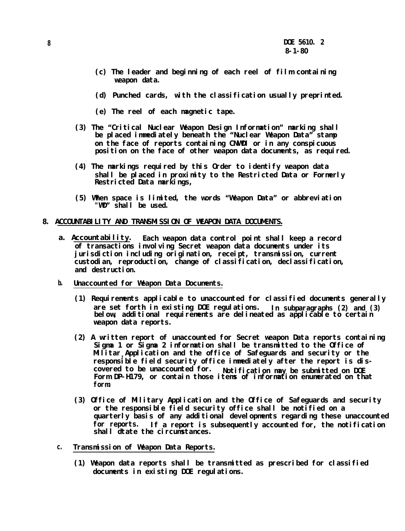- **(c) The leader and beginning of each reel of film containing weapon data.**
- **(d) Punched cards, with the classification usually preprinted.**
- **(e) The reel of each magnetic tape.**
- **(3) The "Critical Nuclear Weapon Design Information" marking shall be placed immediately beneath the "Nuclear Weapon Data" stamp on the face of reports containing CNWDI or in any conspicuous position on the face of other weapon data documents, as required.**
- **(4) The markings required by this Order to identify weapon data shall be placed in proximity to the Restricted Data or Formerly Restricted Data markings,**
- **(5) When space is limited, the words "Weapon Data" or abbreviation "WD" shall be used.**
- **8. ACCOUNTABILITY AND TRANSMISSION OF WEAPON DATA DOCUMENTS.**
	- **a. Accountability. Each weapon data control point shall keep a record of transactions involving Secret weapon data documents under its jurisdiction including origination, receipt, transmission, current custodian, reproduction, change of classification, declassification,** and destruction.
	- **b. Unaccounted for Weapon Data Documents.**
		- **(1) Requirements applicable to unaccounted for classified documents generally are set forth in existing DOE regulations. In subparagraphs (2) and (3) below, additional requirements are delineated as applicable to certain weapon data reports.**
		- **(2) A written report of unaccounted for Secret weapon Data reports containing Sigma 1 or Sigma 2 information shall be transmitted to the Office of Military Application and the office of Safeguards and security or the responsible field security office immediately after the report is discovered to be unaccounted for. Notification may be submitted on DOE Form DP-H179, or contain those items of information enumerated on that form.**
		- **(3) Office of Military Application and the Office of Safeguards and security or the responsible field security office shall be notified on a quarterly basis of any additional developments regarding these unaccounted if a report is subsequently accounted for, the notification shall dtate the circumstances.**
	- **c. Transmission of Weapon Data Reports.**
		- **(1) Weapon data reports shall be transmitted as prescribed for classified documents in existing DOE regulations.**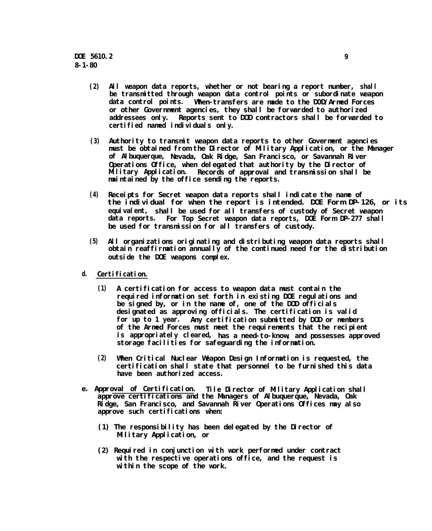- **(2) All weapon data reports, whether or not bearing a report number, shall be transmitted through weapon data control points or subordinate weapon data control points. When-transfers are made to the D0D/Armed Forces or other Government agencies, they shall be forwarded to authorized addressees only. Reports sent to DOD contractors shall be forwarded to certified named individuals only.**
- **(3) Authority to transmit weapon data reports to other Goverment agencies must be obtained from the Director of Military Application, or the Manager of Albuquerque, Nevada, Oak Ridge, San Francisco, or Savannah River Operations Office, when delegated that authority by the Director of Military Application. Records of approval and transmission shall be maintained by the office sending the reports.**
- **(4) Receipts for Secret weapon data reports shall indicate the name of the individual for when the report is intended. DOE Form DP-126, or its equivalent, shall be used for all transfers of custody of Secret weapon data reports. For Top Secret weapon data reports, DOE Form DP-277 shall be used for transmission for all transfers of custody.**
- **(5) All organizations originating and distributing weapon data reports shall obtain reaffirmation annually of the continued need for the distribution outside the DOE weapons complex.**
- **d. Certification.**
	- **(1) A certification for access to weapon data must contain the required information set forth in existing DOE regulations and** be signed by, or in the name of, one of the DOD officials **designated as approving officials. The certification is valid for up to 1 year. Any certification submitted by DOD or members of the Armed Forces must meet the requirements that the recipient is appropriately cleared, has a need-to-know, and possesses approved storage facilities for safeguarding the information.**
	- **(2) When Critical Nuclear Weapon Design Information is requested, the certification shall state that personnel to be furnished this data have been authorized access.**
- **e. Approval of Certification. Tile Director of Military Application shall** approve certifications and the Managers of Albuquerque, Nevada, Oak **Ridge, San Francisco, and Savannah River Operations Offices may also approve such certifications when:**
	- **(1) The responsibility has been delegated by the Director of Military Application, or**
	- **(2) Required in conjunction with work performed under contract with the respective operations office, and the request is within the scope of the work.**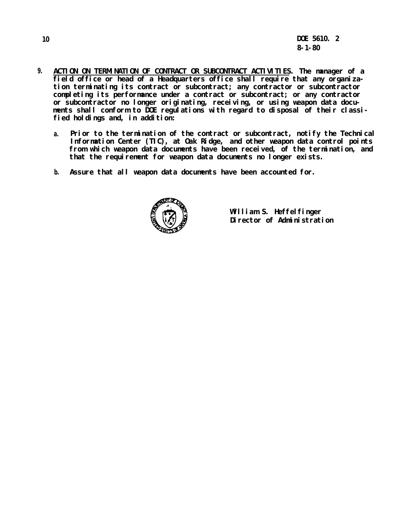- **9. ACTION ON TERMINATION OF CONTRACT OR SUBCONTRACT ACTIVITIES. The manager of a field office or head of a Headquarters office shall require that any organization terminating its contract or subcontract; any contractor or subcontractor completing its performance under a contract or subcontract; or any contractor or subcontractor no longer originating, receiving, or using weapon data documents shall conform to DOE regulations with regard to disposal of their classified holdings and, in addition:**
	- **a. Prior to the termination of the contract or subcontract, notify the Technical Information Center (TIC), at Oak Ridge, and other weapon data control points from which weapon data documents have been received, of the termination, and** that the requirement for weapon data documents no longer exists.
	- **b. Assure that all weapon data documents have been accounted for.**



**William S. Heffelfinger Director of Administration**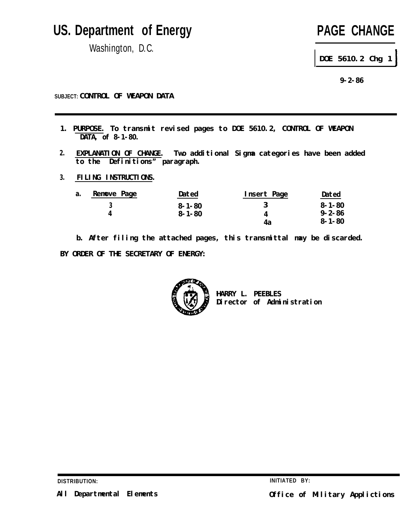# **US. Department of Energy**

Washington, D.C.

# **PAGE CHANGE**

**DOE 5610.2 Chg 1**

**9-2-86**

**SUBJECT: CONTROL OF WEAPON DATA**

- **1. PURPOSE. To transmit revised pages to DOE 5610.2, CONTROL OF WEAPON DATA, of 8-1-80.**
- **2. EXPLANATION OF CHANGE. Two additional Sigma categories have been added to the Definitions" paragraph.**
- **3. FILING INSTRUCTIONS.**

| a. | Remove Page | Dated        | Insert Page | Dated        |
|----|-------------|--------------|-------------|--------------|
|    |             | $8 - 1 - 80$ |             | $8 - 1 - 80$ |
|    |             | $8 - 1 - 80$ |             | $9 - 2 - 86$ |
|    |             |              |             | 8-1-80       |

**b. After filing the attached pages, this transmittal may be discarded. BY ORDER OF THE SECRETARY OF ENERGY:**



**HARRY L. PEEBLES Director of Administration**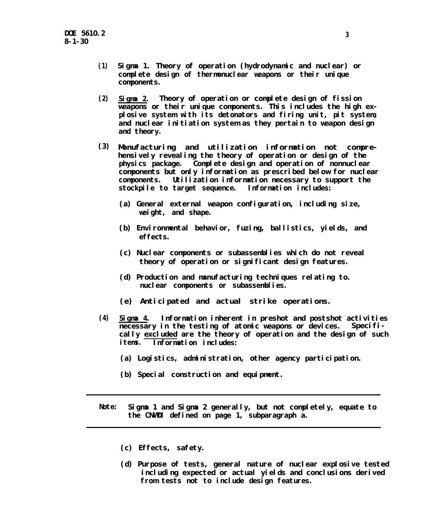- **(1) Sigma 1. Theory of operation (hydrodynamic and nuclear) or complete design of thermonuclear weapons or their unique components.**
- **(2) Sigma 2. Theory of operation or complete design of fission weapons or their unique components. This includes the high explosive system with its detonators and firing unit, pit system, and nuclear initiation system as they pertain to weapon design and theory.**
- **Manufacturing and utilization information not comprehensively revealing the theory of operation or design of the physics package. Complete design and operation of nonnuclear components but only information as prescribed below for nuclear components. Utilization information necessary to support the stockpile to target sequence. Information includes: (3)**
	- **(a) General external weapon configuration, including size, weight, and shape.**
	- **(b) Environmental behavior, fuzing, ballistics, yields, and effects.**
	- **(c) Nuclear components or subassemblies which do not reveal theory of operation or significant design features.**
	- **(d) Production and manufacturing techniques relating to. nuclear components or subassemblies.**
	- **(e) Anticipated and actual strike operations.**
- **(4) Sigma 4. Information inherent in preshot and postshot activities necessary in the testing of atomic weapons or devices. Specifically excluded are the theory of operation and the design of such items. Information includes:**
	- **(a) Logistics, administration, other agency participation.**
	- **(b) Special construction and equipment.**
- **Note: Sigma 1 and Sigma 2 generally, but not completely, equate to the CNWDI defined on page 1, subparagraph a.**
	- **(c) Effects, safety.**
	- **(d) Purpose of tests, general nature of nuclear explosive tested including expected or actual yields and conclusions derived from tests not to include design features.**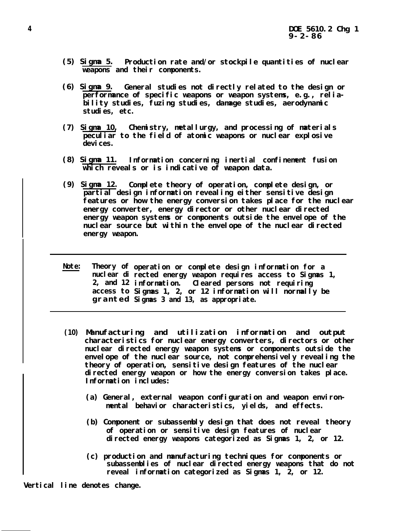- **(5) Sigma 5. Production rate and/or stockpile quantities of nuclear weapons and their components.**
- **(6) Sigma 9. General studies not directly related to the design or performance of specific weapons or weapon systems, e.g., reliability studies, fuzing studies, damage studies, aerodynamic studies, etc.**
- **(7) Sigma 10, Chemistry, metallurgy, and processing of materials peculiar to the field of atomic weapons or nuclear explosive** devi ces.
- **(8) Sigma 11. Information concerning inertial confinement fusion which reveals or is indicative of weapon data.**
- **(9) Sigma 12. Complete theory of operation, complete design, or partial design information revealing either sensitive design features or how the energy conversion takes place for the nuclear energy converter, energy director or other nuclear directed energy weapon systems or components outside the envelope of the nuclear source but within the envelope of the nuclear directed energy weapon.**
- **Note: Theory of operation or complete design information for a nuclear di rected energy weapon requires access to Sigmas 1, 2, and 12 access to granted Sigmas 3 and 13, as appropriate. information. Cleared persons not requiring Sigmas 1, 2, or 12 information will normally be**
- **(10) Manufacturing and utilization information and output characteristics for nuclear energy converters, directors or other nuclear directed energy weapon systems or components outside the** envel ope of the nuclear source, not comprehensively revealing the **theory of operation, sensitive design features of the nuclear directed energy weapon or how the energy conversion takes place. Information includes:**
	- **(a) General, external weapon configuration and weapon environmental behavior characteristics, yields, and effects.**
	- **(b) Component or subassembly design that does not reveal theory of operation or sensitive design features of nuclear directed energy weapons categorized as Sigmas 1, 2, or 12.**
	- **(c) production and manufacturing techniques for components or subassemblies of nuclear directed energy weapons that do not reveal information categorized as Sigmas 1, 2, or 12.**